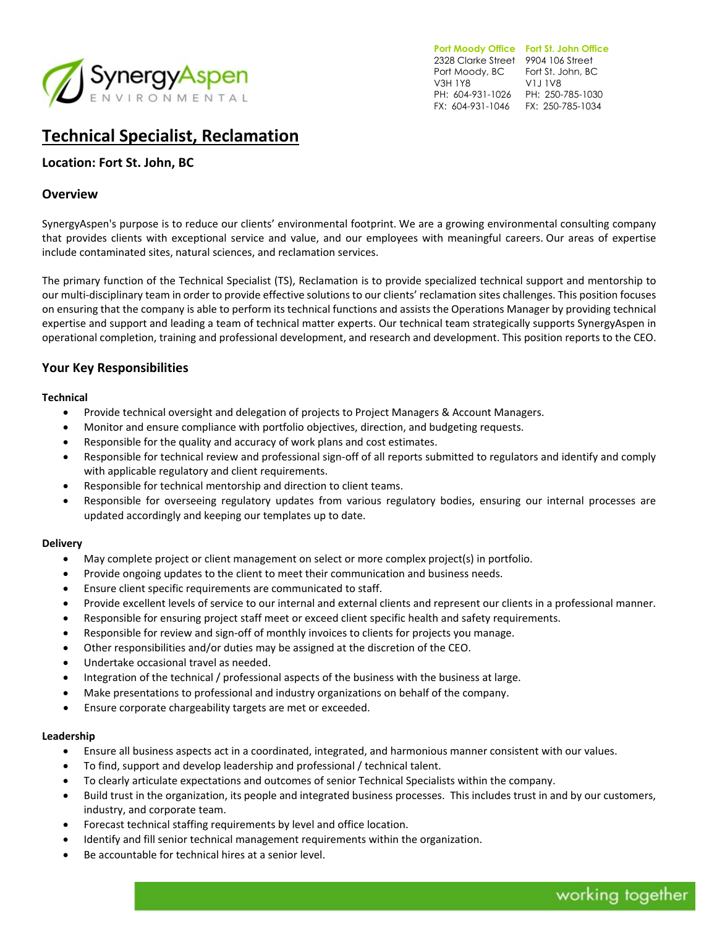

**Port Moody Office Fort St. John Office**  2328 Clarke Street 9904 106 Street Port Moody, BC Fort St. John, BC V3H 1Y8 PH: 604-931-1026 PH: 250-785-1030 FX: 604-931-1046 FX: 250-785-1034 V1J 1V8

# **Technical Specialist, Reclamation**

# **Location: Fort St. John, BC**

### **Overview**

SynergyAspen's purpose is to reduce our clients' environmental footprint. We are a growing environmental consulting company that provides clients with exceptional service and value, and our employees with meaningful careers. Our areas of expertise include contaminated sites, natural sciences, and reclamation services.

The primary function of the Technical Specialist (TS), Reclamation is to provide specialized technical support and mentorship to our multi-disciplinary team in order to provide effective solutions to our clients' reclamation sites challenges. This position focuses on ensuring that the company is able to perform its technical functions and assists the Operations Manager by providing technical expertise and support and leading a team of technical matter experts. Our technical team strategically supports SynergyAspen in operational completion, training and professional development, and research and development. This position reports to the CEO.

# **Your Key Responsibilities**

#### **Technical**

- Provide technical oversight and delegation of projects to Project Managers & Account Managers.
- Monitor and ensure compliance with portfolio objectives, direction, and budgeting requests.
- Responsible for the quality and accuracy of work plans and cost estimates.
- Responsible for technical review and professional sign-off of all reports submitted to regulators and identify and comply with applicable regulatory and client requirements.
- Responsible for technical mentorship and direction to client teams.
- Responsible for overseeing regulatory updates from various regulatory bodies, ensuring our internal processes are updated accordingly and keeping our templates up to date.

#### **Delivery**

- May complete project or client management on select or more complex project(s) in portfolio.
- Provide ongoing updates to the client to meet their communication and business needs.
- Ensure client specific requirements are communicated to staff.
- Provide excellent levels of service to our internal and external clients and represent our clients in a professional manner.
- Responsible for ensuring project staff meet or exceed client specific health and safety requirements.
- Responsible for review and sign-off of monthly invoices to clients for projects you manage.
- Other responsibilities and/or duties may be assigned at the discretion of the CEO.
- Undertake occasional travel as needed.
- Integration of the technical / professional aspects of the business with the business at large.
- Make presentations to professional and industry organizations on behalf of the company.
- Ensure corporate chargeability targets are met or exceeded.

#### **Leadership**

- Ensure all business aspects act in a coordinated, integrated, and harmonious manner consistent with our values.
- To find, support and develop leadership and professional / technical talent.
- To clearly articulate expectations and outcomes of senior Technical Specialists within the company.
- Build trust in the organization, its people and integrated business processes. This includes trust in and by our customers, industry, and corporate team.
- Forecast technical staffing requirements by level and office location.
- Identify and fill senior technical management requirements within the organization.
- Be accountable for technical hires at a senior level.